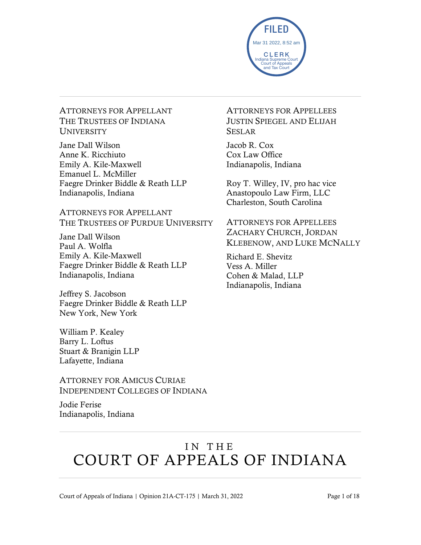

ATTORNEYS FOR APPELLANT THE TRUSTEES OF INDIANA **UNIVERSITY** 

Jane Dall Wilson Anne K. Ricchiuto Emily A. Kile-Maxwell Emanuel L. McMiller Faegre Drinker Biddle & Reath LLP Indianapolis, Indiana

ATTORNEYS FOR APPELLANT THE TRUSTEES OF PURDUE UNIVERSITY

Jane Dall Wilson Paul A. Wolfla Emily A. Kile-Maxwell Faegre Drinker Biddle & Reath LLP Indianapolis, Indiana

Jeffrey S. Jacobson Faegre Drinker Biddle & Reath LLP New York, New York

William P. Kealey Barry L. Loftus Stuart & Branigin LLP Lafayette, Indiana

ATTORNEY FOR AMICUS CURIAE INDEPENDENT COLLEGES OF INDIANA

Jodie Ferise Indianapolis, Indiana ATTORNEYS FOR APPELLEES JUSTIN SPIEGEL AND ELIJAH SESLAR

Jacob R. Cox Cox Law Office Indianapolis, Indiana

Roy T. Willey, IV, pro hac vice Anastopoulo Law Firm, LLC Charleston, South Carolina

ATTORNEYS FOR APPELLEES ZACHARY CHURCH, JORDAN KLEBENOW, AND LUKE MCNALLY

Richard E. Shevitz Vess A. Miller Cohen & Malad, LLP Indianapolis, Indiana

# IN THE COURT OF APPEALS OF INDIANA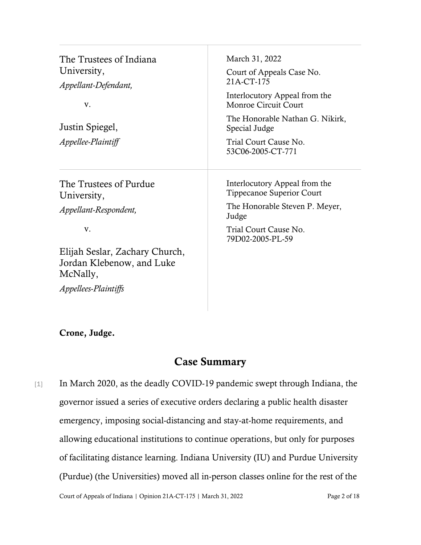| The Trustees of Indiana<br>University,<br>Appellant-Defendant,          | March 31, 2022<br>Court of Appeals Case No.<br>21A-CT-175                                                                                               |                                       |                                                                   |
|-------------------------------------------------------------------------|---------------------------------------------------------------------------------------------------------------------------------------------------------|---------------------------------------|-------------------------------------------------------------------|
| V.<br>Justin Spiegel,<br>Appellee-Plaintiff                             | Interlocutory Appeal from the<br>Monroe Circuit Court<br>The Honorable Nathan G. Nikirk,<br>Special Judge<br>Trial Court Cause No.<br>53C06-2005-CT-771 |                                       |                                                                   |
|                                                                         |                                                                                                                                                         | The Trustees of Purdue<br>University, | Interlocutory Appeal from the<br><b>Tippecanoe Superior Court</b> |
|                                                                         |                                                                                                                                                         | Appellant-Respondent,                 | The Honorable Steven P. Meyer,<br>Judge                           |
| V.                                                                      | Trial Court Cause No.<br>79D02-2005-PL-59                                                                                                               |                                       |                                                                   |
| Elijah Seslar, Zachary Church,<br>Jordan Klebenow, and Luke<br>McNally, |                                                                                                                                                         |                                       |                                                                   |
| <i>Appellees-Plaintiffs</i>                                             |                                                                                                                                                         |                                       |                                                                   |

#### Crone, Judge.

### Case Summary

Court of Appeals of Indiana | Opinion 21A-CT-175 | March 31, 2022 Page 2 of 18 [1] In March 2020, as the deadly COVID-19 pandemic swept through Indiana, the governor issued a series of executive orders declaring a public health disaster emergency, imposing social-distancing and stay-at-home requirements, and allowing educational institutions to continue operations, but only for purposes of facilitating distance learning. Indiana University (IU) and Purdue University (Purdue) (the Universities) moved all in-person classes online for the rest of the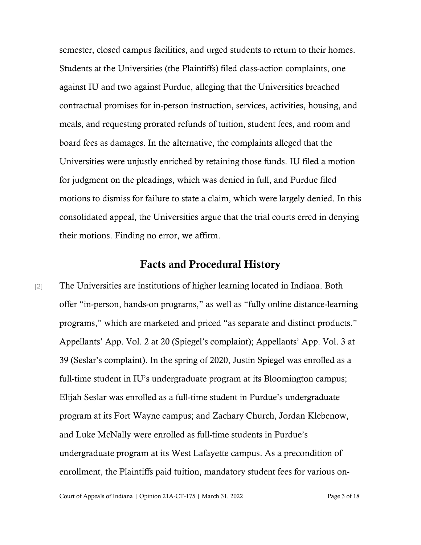semester, closed campus facilities, and urged students to return to their homes. Students at the Universities (the Plaintiffs) filed class-action complaints, one against IU and two against Purdue, alleging that the Universities breached contractual promises for in-person instruction, services, activities, housing, and meals, and requesting prorated refunds of tuition, student fees, and room and board fees as damages. In the alternative, the complaints alleged that the Universities were unjustly enriched by retaining those funds. IU filed a motion for judgment on the pleadings, which was denied in full, and Purdue filed motions to dismiss for failure to state a claim, which were largely denied. In this consolidated appeal, the Universities argue that the trial courts erred in denying their motions. Finding no error, we affirm.

#### Facts and Procedural History

[2] The Universities are institutions of higher learning located in Indiana. Both offer "in-person, hands-on programs," as well as "fully online distance-learning programs," which are marketed and priced "as separate and distinct products." Appellants' App. Vol. 2 at 20 (Spiegel's complaint); Appellants' App. Vol. 3 at 39 (Seslar's complaint). In the spring of 2020, Justin Spiegel was enrolled as a full-time student in IU's undergraduate program at its Bloomington campus; Elijah Seslar was enrolled as a full-time student in Purdue's undergraduate program at its Fort Wayne campus; and Zachary Church, Jordan Klebenow, and Luke McNally were enrolled as full-time students in Purdue's undergraduate program at its West Lafayette campus. As a precondition of enrollment, the Plaintiffs paid tuition, mandatory student fees for various on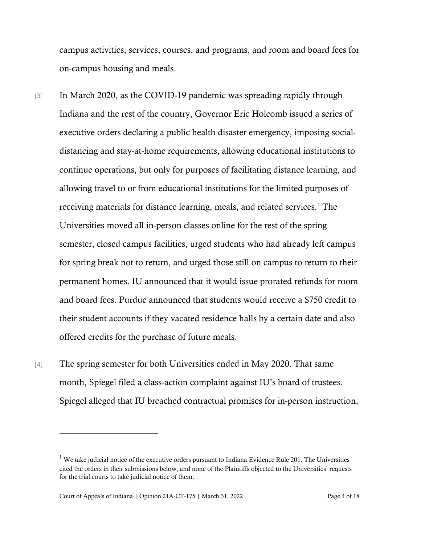campus activities, services, courses, and programs, and room and board fees for on-campus housing and meals.

- [3] In March 2020, as the COVID-19 pandemic was spreading rapidly through Indiana and the rest of the country, Governor Eric Holcomb issued a series of executive orders declaring a public health disaster emergency, imposing socialdistancing and stay-at-home requirements, allowing educational institutions to continue operations, but only for purposes of facilitating distance learning, and allowing travel to or from educational institutions for the limited purposes of receiving materials for distance learning, meals, and related services. [1](#page-3-0) The Universities moved all in-person classes online for the rest of the spring semester, closed campus facilities, urged students who had already left campus for spring break not to return, and urged those still on campus to return to their permanent homes. IU announced that it would issue prorated refunds for room and board fees. Purdue announced that students would receive a \$750 credit to their student accounts if they vacated residence halls by a certain date and also offered credits for the purchase of future meals.
- [4] The spring semester for both Universities ended in May 2020. That same month, Spiegel filed a class-action complaint against IU's board of trustees. Spiegel alleged that IU breached contractual promises for in-person instruction,

<span id="page-3-0"></span><sup>&</sup>lt;sup>1</sup> We take judicial notice of the executive orders pursuant to Indiana Evidence Rule 201. The Universities cited the orders in their submissions below, and none of the Plaintiffs objected to the Universities' requests for the trial courts to take judicial notice of them.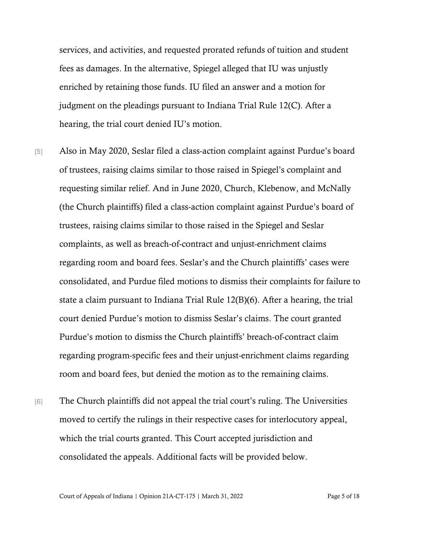services, and activities, and requested prorated refunds of tuition and student fees as damages. In the alternative, Spiegel alleged that IU was unjustly enriched by retaining those funds. IU filed an answer and a motion for judgment on the pleadings pursuant to Indiana Trial Rule 12(C). After a hearing, the trial court denied IU's motion.

- [5] Also in May 2020, Seslar filed a class-action complaint against Purdue's board of trustees, raising claims similar to those raised in Spiegel's complaint and requesting similar relief. And in June 2020, Church, Klebenow, and McNally (the Church plaintiffs) filed a class-action complaint against Purdue's board of trustees, raising claims similar to those raised in the Spiegel and Seslar complaints, as well as breach-of-contract and unjust-enrichment claims regarding room and board fees. Seslar's and the Church plaintiffs' cases were consolidated, and Purdue filed motions to dismiss their complaints for failure to state a claim pursuant to Indiana Trial Rule 12(B)(6). After a hearing, the trial court denied Purdue's motion to dismiss Seslar's claims. The court granted Purdue's motion to dismiss the Church plaintiffs' breach-of-contract claim regarding program-specific fees and their unjust-enrichment claims regarding room and board fees, but denied the motion as to the remaining claims.
- [6] The Church plaintiffs did not appeal the trial court's ruling. The Universities moved to certify the rulings in their respective cases for interlocutory appeal, which the trial courts granted. This Court accepted jurisdiction and consolidated the appeals. Additional facts will be provided below.

Court of Appeals of Indiana | Opinion 21A-CT-175 | March 31, 2022 Page 5 of 18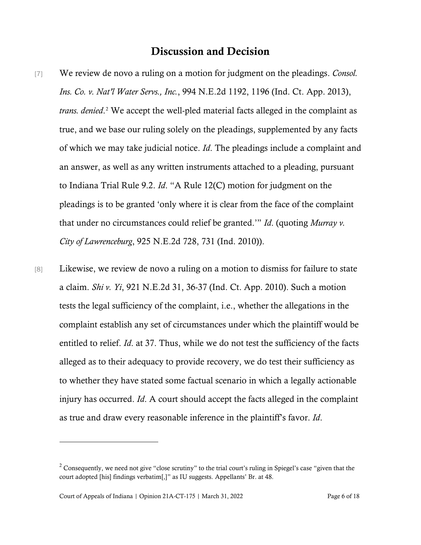### Discussion and Decision

- [7] We review de novo a ruling on a motion for judgment on the pleadings. *Consol. Ins. Co. v. Nat'l Water Servs., Inc.*, 994 N.E.2d 1192, 1196 (Ind. Ct. App. 2013), *trans. denied*. [2](#page-5-0) We accept the well-pled material facts alleged in the complaint as true, and we base our ruling solely on the pleadings, supplemented by any facts of which we may take judicial notice. *Id*. The pleadings include a complaint and an answer, as well as any written instruments attached to a pleading, pursuant to Indiana Trial Rule 9.2. *Id*. "A Rule 12(C) motion for judgment on the pleadings is to be granted 'only where it is clear from the face of the complaint that under no circumstances could relief be granted.'" *Id*. (quoting *Murray v. City of Lawrenceburg*, 925 N.E.2d 728, 731 (Ind. 2010)).
- [8] Likewise, we review de novo a ruling on a motion to dismiss for failure to state a claim. *Shi v. Yi*, 921 N.E.2d 31, 36-37 (Ind. Ct. App. 2010). Such a motion tests the legal sufficiency of the complaint, i.e., whether the allegations in the complaint establish any set of circumstances under which the plaintiff would be entitled to relief. *Id*. at 37. Thus, while we do not test the sufficiency of the facts alleged as to their adequacy to provide recovery, we do test their sufficiency as to whether they have stated some factual scenario in which a legally actionable injury has occurred. *Id*. A court should accept the facts alleged in the complaint as true and draw every reasonable inference in the plaintiff's favor. *Id*.

<span id="page-5-0"></span><sup>&</sup>lt;sup>2</sup> Consequently, we need not give "close scrutiny" to the trial court's ruling in Spiegel's case "given that the court adopted [his] findings verbatim[,]" as IU suggests. Appellants' Br. at 48.

Court of Appeals of Indiana | Opinion 21A-CT-175 | March 31, 2022 Page 6 of 18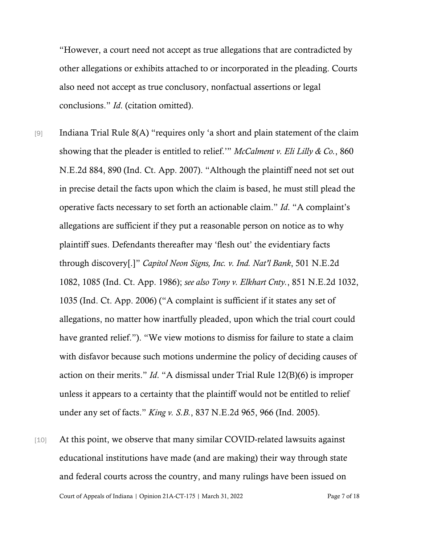"However, a court need not accept as true allegations that are contradicted by other allegations or exhibits attached to or incorporated in the pleading. Courts also need not accept as true conclusory, nonfactual assertions or legal conclusions." *Id*. (citation omitted).

- [9] Indiana Trial Rule 8(A) "requires only 'a short and plain statement of the claim showing that the pleader is entitled to relief.'" *McCalment v. Eli Lilly & Co.*, 860 N.E.2d 884, 890 (Ind. Ct. App. 2007). "Although the plaintiff need not set out in precise detail the facts upon which the claim is based, he must still plead the operative facts necessary to set forth an actionable claim." *Id*. "A complaint's allegations are sufficient if they put a reasonable person on notice as to why plaintiff sues. Defendants thereafter may 'flesh out' the evidentiary facts through discovery[.]" *Capitol Neon Signs, Inc. v. Ind. Nat'l Bank*, 501 N.E.2d 1082, 1085 (Ind. Ct. App. 1986); *see also Tony v. Elkhart Cnty.*, 851 N.E.2d 1032, 1035 (Ind. Ct. App. 2006) ("A complaint is sufficient if it states any set of allegations, no matter how inartfully pleaded, upon which the trial court could have granted relief."). "We view motions to dismiss for failure to state a claim with disfavor because such motions undermine the policy of deciding causes of action on their merits." *Id*. "A dismissal under Trial Rule 12(B)(6) is improper unless it appears to a certainty that the plaintiff would not be entitled to relief under any set of facts." *King v. S.B.*, 837 N.E.2d 965, 966 (Ind. 2005).
- Court of Appeals of Indiana | Opinion 21A-CT-175 | March 31, 2022 Page 7 of 18 [10] At this point, we observe that many similar COVID-related lawsuits against educational institutions have made (and are making) their way through state and federal courts across the country, and many rulings have been issued on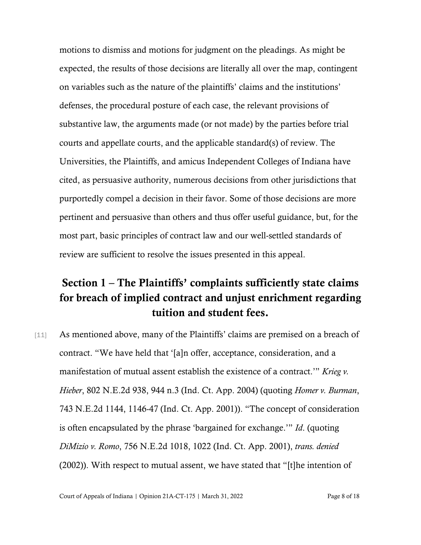motions to dismiss and motions for judgment on the pleadings. As might be expected, the results of those decisions are literally all over the map, contingent on variables such as the nature of the plaintiffs' claims and the institutions' defenses, the procedural posture of each case, the relevant provisions of substantive law, the arguments made (or not made) by the parties before trial courts and appellate courts, and the applicable standard(s) of review. The Universities, the Plaintiffs, and amicus Independent Colleges of Indiana have cited, as persuasive authority, numerous decisions from other jurisdictions that purportedly compel a decision in their favor. Some of those decisions are more pertinent and persuasive than others and thus offer useful guidance, but, for the most part, basic principles of contract law and our well-settled standards of review are sufficient to resolve the issues presented in this appeal.

## Section 1 – The Plaintiffs' complaints sufficiently state claims for breach of implied contract and unjust enrichment regarding tuition and student fees.

[11] As mentioned above, many of the Plaintiffs' claims are premised on a breach of contract. "We have held that '[a]n offer, acceptance, consideration, and a manifestation of mutual assent establish the existence of a contract.'" *Krieg v. Hieber*, 802 N.E.2d 938, 944 n.3 (Ind. Ct. App. 2004) (quoting *Homer v. Burman*, 743 N.E.2d 1144, 1146-47 (Ind. Ct. App. 2001)). "The concept of consideration is often encapsulated by the phrase 'bargained for exchange.'" *Id*. (quoting *DiMizio v. Romo*, 756 N.E.2d 1018, 1022 (Ind. Ct. App. 2001), *trans. denied* (2002)). With respect to mutual assent, we have stated that "[t]he intention of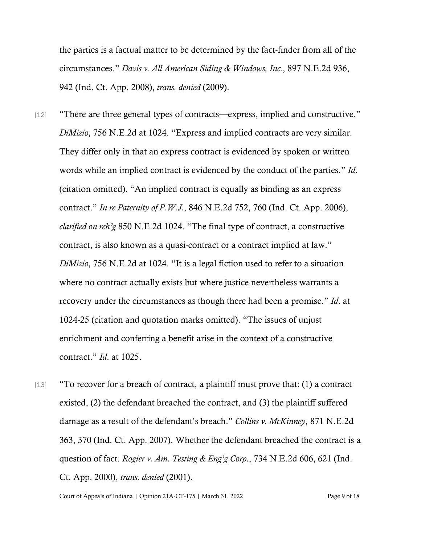the parties is a factual matter to be determined by the fact-finder from all of the circumstances." *Davis v. All American Siding & Windows, Inc.*, 897 N.E.2d 936, 942 (Ind. Ct. App. 2008), *trans. denied* (2009).

- [12] "There are three general types of contracts—express, implied and constructive." *DiMizio*, 756 N.E.2d at 1024. "Express and implied contracts are very similar. They differ only in that an express contract is evidenced by spoken or written words while an implied contract is evidenced by the conduct of the parties." *Id*. (citation omitted). "An implied contract is equally as binding as an express contract." *In re Paternity of P.W.J.*, 846 N.E.2d 752, 760 (Ind. Ct. App. 2006), *clarified on reh'g* 850 N.E.2d 1024. "The final type of contract, a constructive contract, is also known as a quasi-contract or a contract implied at law." *DiMizio*, 756 N.E.2d at 1024. "It is a legal fiction used to refer to a situation where no contract actually exists but where justice nevertheless warrants a recovery under the circumstances as though there had been a promise." *Id*. at 1024-25 (citation and quotation marks omitted). "The issues of unjust enrichment and conferring a benefit arise in the context of a constructive contract." *Id*. at 1025.
- [13] "To recover for a breach of contract, a plaintiff must prove that: (1) a contract existed, (2) the defendant breached the contract, and (3) the plaintiff suffered damage as a result of the defendant's breach." *Collins v. McKinney*, 871 N.E.2d 363, 370 (Ind. Ct. App. 2007). Whether the defendant breached the contract is a question of fact. *Rogier v. Am. Testing & Eng'g Corp.*, 734 N.E.2d 606, 621 (Ind. Ct. App. 2000), *trans. denied* (2001).

Court of Appeals of Indiana | Opinion 21A-CT-175 | March 31, 2022 Page 9 of 18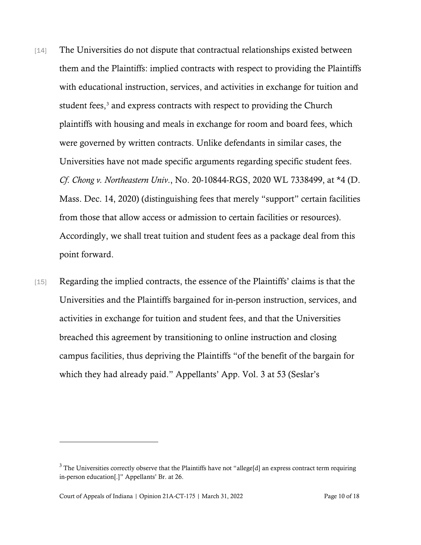- [14] The Universities do not dispute that contractual relationships existed between them and the Plaintiffs: implied contracts with respect to providing the Plaintiffs with educational instruction, services, and activities in exchange for tuition and student fees,<sup>[3](#page-9-0)</sup> and express contracts with respect to providing the Church plaintiffs with housing and meals in exchange for room and board fees, which were governed by written contracts. Unlike defendants in similar cases, the Universities have not made specific arguments regarding specific student fees. *Cf*. *Chong v. Northeastern Univ*., No. 20-10844-RGS, 2020 WL 7338499, at \*4 (D. Mass. Dec. 14, 2020) (distinguishing fees that merely "support" certain facilities from those that allow access or admission to certain facilities or resources). Accordingly, we shall treat tuition and student fees as a package deal from this point forward.
- [15] Regarding the implied contracts, the essence of the Plaintiffs' claims is that the Universities and the Plaintiffs bargained for in-person instruction, services, and activities in exchange for tuition and student fees, and that the Universities breached this agreement by transitioning to online instruction and closing campus facilities, thus depriving the Plaintiffs "of the benefit of the bargain for which they had already paid." Appellants' App. Vol. 3 at 53 (Seslar's

<span id="page-9-0"></span><sup>&</sup>lt;sup>3</sup> The Universities correctly observe that the Plaintiffs have not "allege[d] an express contract term requiring in-person education[.]" Appellants' Br. at 26.

Court of Appeals of Indiana | Opinion 21A-CT-175 | March 31, 2022 Page 10 of 18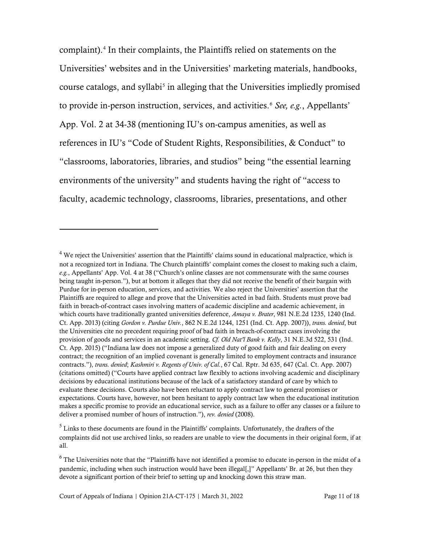complaint). [4](#page-10-0) In their complaints, the Plaintiffs relied on statements on the Universities' websites and in the Universities' marketing materials, handbooks, course catalogs, and syllabi<sup>[5](#page-10-1)</sup> in alleging that the Universities impliedly promised to provide in-person instruction, services, and activities.[6](#page-10-2) *See, e.g.*, Appellants' App. Vol. 2 at 34-38 (mentioning IU's on-campus amenities, as well as references in IU's "Code of Student Rights, Responsibilities, & Conduct" to "classrooms, laboratories, libraries, and studios" being "the essential learning environments of the university" and students having the right of "access to faculty, academic technology, classrooms, libraries, presentations, and other

<span id="page-10-0"></span><sup>&</sup>lt;sup>4</sup> We reject the Universities' assertion that the Plaintiffs' claims sound in educational malpractice, which is not a recognized tort in Indiana. The Church plaintiffs' complaint comes the closest to making such a claim, *e.g.*, Appellants' App. Vol. 4 at 38 ("Church's online classes are not commensurate with the same courses being taught in-person."), but at bottom it alleges that they did not receive the benefit of their bargain with Purdue for in-person education, services, and activities. We also reject the Universities' assertion that the Plaintiffs are required to allege and prove that the Universities acted in bad faith. Students must prove bad faith in breach-of-contract cases involving matters of academic discipline and academic achievement, in which courts have traditionally granted universities deference, *Amaya v. Brater*, 981 N.E.2d 1235, 1240 (Ind. Ct. App. 2013) (citing *Gordon v. Purdue Univ.*, 862 N.E.2d 1244, 1251 (Ind. Ct. App. 2007)), *trans. denied*, but the Universities cite no precedent requiring proof of bad faith in breach-of-contract cases involving the provision of goods and services in an academic setting. *Cf. Old Nat'l Bank v. Kelly*, 31 N.E.3d 522, 531 (Ind. Ct. App. 2015) ("Indiana law does not impose a generalized duty of good faith and fair dealing on every contract; the recognition of an implied covenant is generally limited to employment contracts and insurance contracts."), *trans. denied*; *Kashmiri v. Regents of Univ. of Cal.*, 67 Cal. Rptr. 3d 635, 647 (Cal. Ct. App. 2007) (citations omitted) ("Courts have applied contract law flexibly to actions involving academic and disciplinary decisions by educational institutions because of the lack of a satisfactory standard of care by which to evaluate these decisions. Courts also have been reluctant to apply contract law to general promises or expectations. Courts have, however, not been hesitant to apply contract law when the educational institution makes a specific promise to provide an educational service, such as a failure to offer any classes or a failure to deliver a promised number of hours of instruction."), *rev. denied* (2008).

<span id="page-10-1"></span> $^5$  Links to these documents are found in the Plaintiffs' complaints. Unfortunately, the drafters of the  $\,$ complaints did not use archived links, so readers are unable to view the documents in their original form, if at all.

<span id="page-10-2"></span> $6$  The Universities note that the "Plaintiffs have not identified a promise to educate in-person in the midst of a pandemic, including when such instruction would have been illegal[,]" Appellants' Br. at 26, but then they devote a significant portion of their brief to setting up and knocking down this straw man.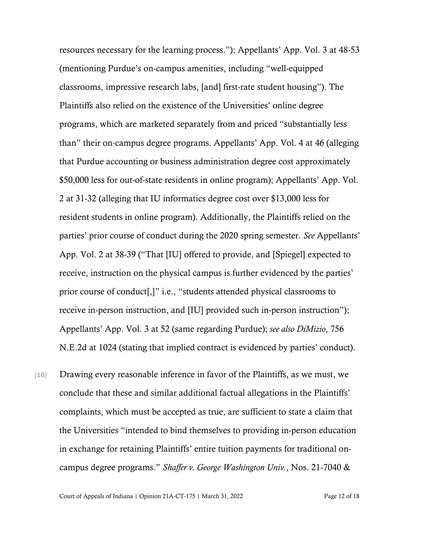resources necessary for the learning process."); Appellants' App. Vol. 3 at 48-53 (mentioning Purdue's on-campus amenities, including "well-equipped classrooms, impressive research labs, [and] first-rate student housing"). The Plaintiffs also relied on the existence of the Universities' online degree programs, which are marketed separately from and priced "substantially less than" their on-campus degree programs. Appellants' App. Vol. 4 at 46 (alleging that Purdue accounting or business administration degree cost approximately \$50,000 less for out-of-state residents in online program); Appellants' App. Vol. 2 at 31-32 (alleging that IU informatics degree cost over \$13,000 less for resident students in online program). Additionally, the Plaintiffs relied on the parties' prior course of conduct during the 2020 spring semester. *See* Appellants' App. Vol. 2 at 38-39 ("That [IU] offered to provide, and [Spiegel] expected to receive, instruction on the physical campus is further evidenced by the parties' prior course of conduct[,]" i.e., "students attended physical classrooms to receive in-person instruction, and [IU] provided such in-person instruction"); Appellants' App. Vol. 3 at 52 (same regarding Purdue); *see also DiMizio*, 756 N.E.2d at 1024 (stating that implied contract is evidenced by parties' conduct).

[16] Drawing every reasonable inference in favor of the Plaintiffs, as we must, we conclude that these and similar additional factual allegations in the Plaintiffs' complaints, which must be accepted as true, are sufficient to state a claim that the Universities "intended to bind themselves to providing in-person education in exchange for retaining Plaintiffs' entire tuition payments for traditional oncampus degree programs." *Shaffer v. George Washington Univ.*, Nos. 21-7040 &

Court of Appeals of Indiana | Opinion 21A-CT-175 | March 31, 2022 Page 12 of 18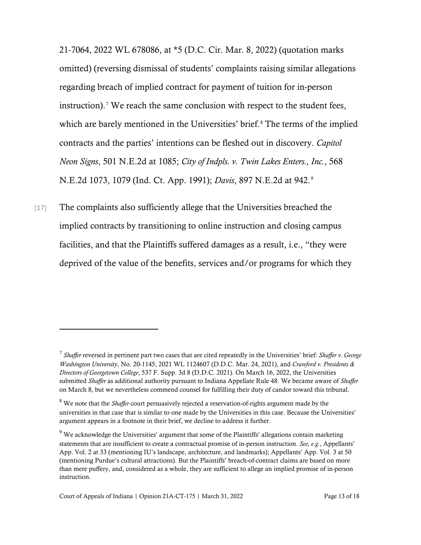21-7064, 2022 WL 678086, at \*5 (D.C. Cir. Mar. 8, 2022) (quotation marks omitted) (reversing dismissal of students' complaints raising similar allegations regarding breach of implied contract for payment of tuition for in-person instruction). [7](#page-12-0) We reach the same conclusion with respect to the student fees, which are barely mentioned in the Universities' brief.<sup>[8](#page-12-1)</sup> The terms of the implied contracts and the parties' intentions can be fleshed out in discovery. *Capitol Neon Signs*, 501 N.E.2d at 1085; *City of Indpls. v. Twin Lakes Enters., Inc.*, 568 N.E.2d 1073, 1079 (Ind. Ct. App. 1991); *Davis*, 897 N.E.2d at 942. [9](#page-12-2)

[17] The complaints also sufficiently allege that the Universities breached the implied contracts by transitioning to online instruction and closing campus facilities, and that the Plaintiffs suffered damages as a result, i.e., "they were deprived of the value of the benefits, services and/or programs for which they

<span id="page-12-0"></span><sup>7</sup> *Shaffer* reversed in pertinent part two cases that are cited repeatedly in the Universities' brief: *Shaffer v. George Washington University*, No. 20-1145, 2021 WL 1124607 (D.D.C. Mar. 24, 2021), and *Crawford v. Presidents & Directors of Georgetown College*, 537 F. Supp. 3d 8 (D.D.C. 2021). On March 16, 2022, the Universities submitted *Shaffer* as additional authority pursuant to Indiana Appellate Rule 48. We became aware of *Shaffer* on March 8, but we nevertheless commend counsel for fulfilling their duty of candor toward this tribunal.

<span id="page-12-1"></span><sup>8</sup> We note that the *Shaffer* court persuasively rejected a reservation-of-rights argument made by the universities in that case that is similar to one made by the Universities in this case. Because the Universities' argument appears in a footnote in their brief, we decline to address it further.

<span id="page-12-2"></span> $9$  We acknowledge the Universities' argument that some of the Plaintiffs' allegations contain marketing statements that are insufficient to create a contractual promise of in-person instruction. *See, e.g.*, Appellants' App. Vol. 2 at 33 (mentioning IU's landscape, architecture, and landmarks); Appellants' App. Vol. 3 at 50 (mentioning Purdue's cultural attractions). But the Plaintiffs' breach-of-contract claims are based on more than mere puffery, and, considered as a whole, they are sufficient to allege an implied promise of in-person instruction.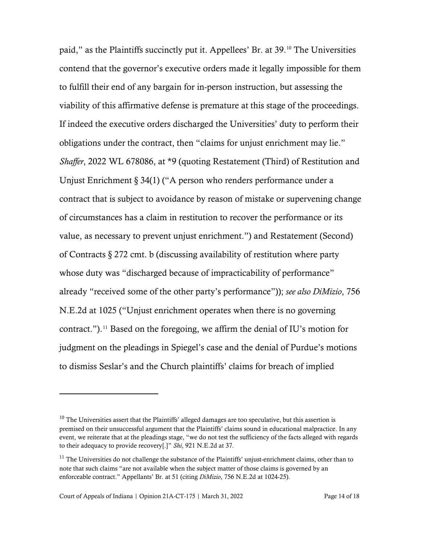paid," as the Plaintiffs succinctly put it. Appellees' Br. at 39. [10](#page-13-0) The Universities contend that the governor's executive orders made it legally impossible for them to fulfill their end of any bargain for in-person instruction, but assessing the viability of this affirmative defense is premature at this stage of the proceedings. If indeed the executive orders discharged the Universities' duty to perform their obligations under the contract, then "claims for unjust enrichment may lie." *Shaffer*, 2022 WL 678086, at \*9 (quoting Restatement (Third) of Restitution and Unjust Enrichment § 34(1) ("A person who renders performance under a contract that is subject to avoidance by reason of mistake or supervening change of circumstances has a claim in restitution to recover the performance or its value, as necessary to prevent unjust enrichment.") and Restatement (Second) of Contracts § 272 cmt. b (discussing availability of restitution where party whose duty was "discharged because of impracticability of performance" already "received some of the other party's performance")); *see also DiMizio*, 756 N.E.2d at 1025 ("Unjust enrichment operates when there is no governing contract."). [11](#page-13-1) Based on the foregoing, we affirm the denial of IU's motion for judgment on the pleadings in Spiegel's case and the denial of Purdue's motions to dismiss Seslar's and the Church plaintiffs' claims for breach of implied

<span id="page-13-0"></span> $10$  The Universities assert that the Plaintiffs' alleged damages are too speculative, but this assertion is premised on their unsuccessful argument that the Plaintiffs' claims sound in educational malpractice. In any event, we reiterate that at the pleadings stage, "we do not test the sufficiency of the facts alleged with regards to their adequacy to provide recovery[.]" *Shi*, 921 N.E.2d at 37.

<span id="page-13-1"></span><sup>&</sup>lt;sup>11</sup> The Universities do not challenge the substance of the Plaintiffs' unjust-enrichment claims, other than to note that such claims "are not available when the subject matter of those claims is governed by an enforceable contract." Appellants' Br. at 51 (citing *DiMizio*, 756 N.E.2d at 1024-25).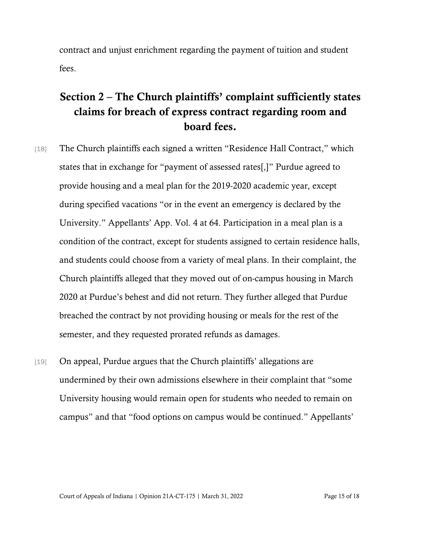contract and unjust enrichment regarding the payment of tuition and student fees.

## Section 2 – The Church plaintiffs' complaint sufficiently states claims for breach of express contract regarding room and board fees.

- [18] The Church plaintiffs each signed a written "Residence Hall Contract," which states that in exchange for "payment of assessed rates[,]" Purdue agreed to provide housing and a meal plan for the 2019-2020 academic year, except during specified vacations "or in the event an emergency is declared by the University." Appellants' App. Vol. 4 at 64. Participation in a meal plan is a condition of the contract, except for students assigned to certain residence halls, and students could choose from a variety of meal plans. In their complaint, the Church plaintiffs alleged that they moved out of on-campus housing in March 2020 at Purdue's behest and did not return. They further alleged that Purdue breached the contract by not providing housing or meals for the rest of the semester, and they requested prorated refunds as damages.
- [19] On appeal, Purdue argues that the Church plaintiffs' allegations are undermined by their own admissions elsewhere in their complaint that "some University housing would remain open for students who needed to remain on campus" and that "food options on campus would be continued." Appellants'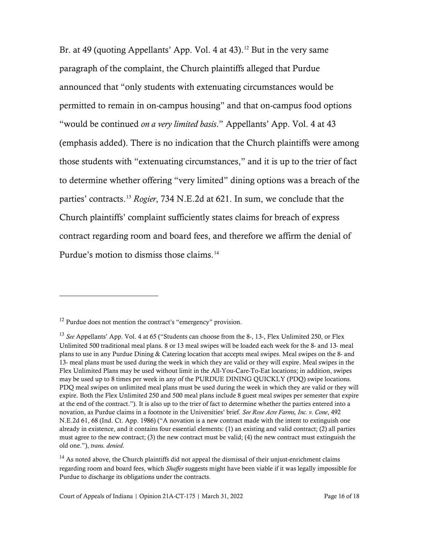Br. at 49 (quoting Appellants' App. Vol. 4 at 43).<sup>[12](#page-15-0)</sup> But in the very same paragraph of the complaint, the Church plaintiffs alleged that Purdue announced that "only students with extenuating circumstances would be permitted to remain in on-campus housing" and that on-campus food options "would be continued *on a very limited basis*." Appellants' App. Vol. 4 at 43 (emphasis added). There is no indication that the Church plaintiffs were among those students with "extenuating circumstances," and it is up to the trier of fact to determine whether offering "very limited" dining options was a breach of the parties' contracts.[13](#page-15-1) *Rogier*, 734 N.E.2d at 621. In sum, we conclude that the Church plaintiffs' complaint sufficiently states claims for breach of express contract regarding room and board fees, and therefore we affirm the denial of Purdue's motion to dismiss those claims.<sup>[14](#page-15-2)</sup>

<span id="page-15-0"></span> $12$  Purdue does not mention the contract's "emergency" provision.

<span id="page-15-1"></span><sup>&</sup>lt;sup>13</sup> See Appellants' App. Vol. 4 at 65 ("Students can choose from the 8-, 13-, Flex Unlimited 250, or Flex Unlimited 500 traditional meal plans. 8 or 13 meal swipes will be loaded each week for the 8- and 13- meal plans to use in any Purdue Dining & Catering location that accepts meal swipes. Meal swipes on the 8- and 13- meal plans must be used during the week in which they are valid or they will expire. Meal swipes in the Flex Unlimited Plans may be used without limit in the All-You-Care-To-Eat locations; in addition, swipes may be used up to 8 times per week in any of the PURDUE DINING QUICKLY (PDQ) swipe locations. PDQ meal swipes on unlimited meal plans must be used during the week in which they are valid or they will expire. Both the Flex Unlimited 250 and 500 meal plans include 8 guest meal swipes per semester that expire at the end of the contract."). It is also up to the trier of fact to determine whether the parties entered into a novation, as Purdue claims in a footnote in the Universities' brief. *See Rose Acre Farms, Inc. v. Cone*, 492 N.E.2d 61, 68 (Ind. Ct. App. 1986) ("A novation is a new contract made with the intent to extinguish one already in existence, and it contains four essential elements: (1) an existing and valid contract; (2) all parties must agree to the new contract; (3) the new contract must be valid; (4) the new contract must extinguish the old one."), *trans. denied*.

<span id="page-15-2"></span><sup>&</sup>lt;sup>14</sup> As noted above, the Church plaintiffs did not appeal the dismissal of their unjust-enrichment claims regarding room and board fees, which *Shaffer* suggests might have been viable if it was legally impossible for Purdue to discharge its obligations under the contracts.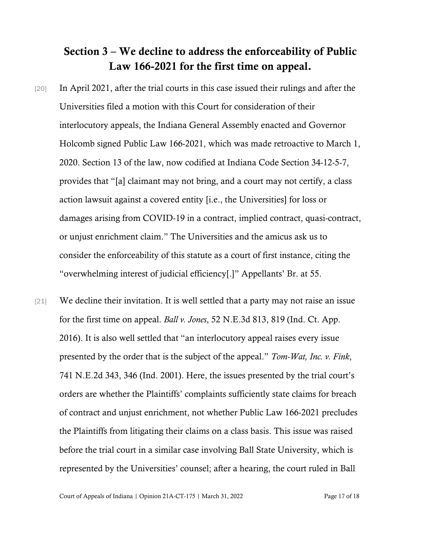## Section 3 – We decline to address the enforceability of Public Law 166-2021 for the first time on appeal.

- [20] In April 2021, after the trial courts in this case issued their rulings and after the Universities filed a motion with this Court for consideration of their interlocutory appeals, the Indiana General Assembly enacted and Governor Holcomb signed Public Law 166-2021, which was made retroactive to March 1, 2020. Section 13 of the law, now codified at Indiana Code Section 34-12-5-7, provides that "[a] claimant may not bring, and a court may not certify, a class action lawsuit against a covered entity [i.e., the Universities] for loss or damages arising from COVID-19 in a contract, implied contract, quasi-contract, or unjust enrichment claim." The Universities and the amicus ask us to consider the enforceability of this statute as a court of first instance, citing the "overwhelming interest of judicial efficiency[.]" Appellants' Br. at 55.
- [21] We decline their invitation. It is well settled that a party may not raise an issue for the first time on appeal. *Ball v. Jones*, 52 N.E.3d 813, 819 (Ind. Ct. App. 2016). It is also well settled that "an interlocutory appeal raises every issue presented by the order that is the subject of the appeal." *Tom-Wat, Inc. v. Fink*, 741 N.E.2d 343, 346 (Ind. 2001). Here, the issues presented by the trial court's orders are whether the Plaintiffs' complaints sufficiently state claims for breach of contract and unjust enrichment, not whether Public Law 166-2021 precludes the Plaintiffs from litigating their claims on a class basis. This issue was raised before the trial court in a similar case involving Ball State University, which is represented by the Universities' counsel; after a hearing, the court ruled in Ball